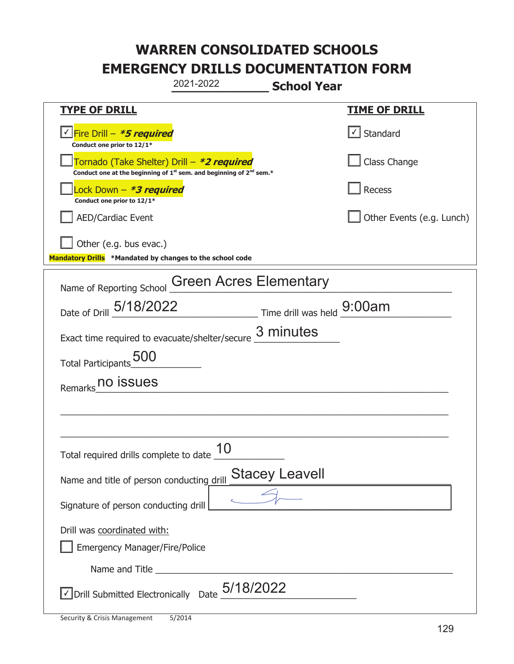|                                                                                                                             | 2021-2022                     | <b>School Year</b>         |                               |
|-----------------------------------------------------------------------------------------------------------------------------|-------------------------------|----------------------------|-------------------------------|
| <u>TYPE OF DRILL</u>                                                                                                        |                               |                            | <u>TIME OF DRILL</u>          |
| <u>√ Fire Drill – <i>*5 required</i></u><br>Conduct one prior to 12/1*                                                      |                               |                            | $\sqrt{\phantom{a}}$ Standard |
| Tornado (Take Shelter) Drill – *2 required<br>Conduct one at the beginning of $1^{st}$ sem. and beginning of $2^{nd}$ sem.* |                               |                            | Class Change                  |
| ock Down - <b>*3 required</b><br>Conduct one prior to 12/1*                                                                 |                               |                            | Recess                        |
| <b>AED/Cardiac Event</b>                                                                                                    |                               |                            | Other Events (e.g. Lunch)     |
| Other (e.g. bus evac.)<br>Mandatory Drills *Mandated by changes to the school code                                          |                               |                            |                               |
| Name of Reporting School                                                                                                    | <b>Green Acres Elementary</b> |                            |                               |
| Date of Drill 5/18/2022                                                                                                     |                               | Time drill was held 9:00am |                               |
| Exact time required to evacuate/shelter/secure                                                                              |                               | 3 minutes                  |                               |
| <b>500</b><br><b>Total Participants</b>                                                                                     |                               |                            |                               |
| no issues<br>Remarks                                                                                                        |                               |                            |                               |
|                                                                                                                             |                               |                            |                               |
|                                                                                                                             |                               |                            |                               |
| Total required drills complete to date                                                                                      | 10                            |                            |                               |
| Name and title of person conducting drill                                                                                   |                               | <b>Stacey Leavell</b>      |                               |
| Signature of person conducting drill                                                                                        |                               |                            |                               |
| Drill was coordinated with:<br><b>Emergency Manager/Fire/Police</b>                                                         |                               |                            |                               |
|                                                                                                                             |                               |                            |                               |
| <b>JDrill Submitted Electronically</b> Date $\frac{5/18/2022}{ }$                                                           |                               |                            |                               |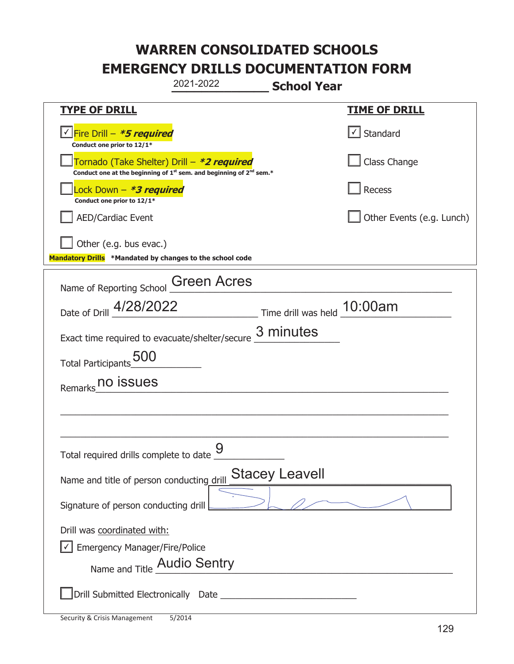|                                                                                    | 2021-2022                                                                     | <b>School Year</b>          |                           |
|------------------------------------------------------------------------------------|-------------------------------------------------------------------------------|-----------------------------|---------------------------|
| <b>TYPE OF DRILL</b>                                                               |                                                                               |                             | <u>TIME OF DRILL</u>      |
| Fire Drill – <i>*<b>5 required</b></i><br>Conduct one prior to 12/1*               |                                                                               |                             | Standard                  |
| Tornado (Take Shelter) Drill – *2 required                                         | Conduct one at the beginning of $1^{st}$ sem. and beginning of $2^{nd}$ sem.* |                             | Class Change              |
| Lock Down - *3 required<br>Conduct one prior to 12/1*                              |                                                                               |                             | Recess                    |
| <b>AED/Cardiac Event</b>                                                           |                                                                               |                             | Other Events (e.g. Lunch) |
| Other (e.g. bus evac.)<br>Mandatory Drills *Mandated by changes to the school code |                                                                               |                             |                           |
| Name of Reporting School                                                           | <b>Green Acres</b>                                                            |                             |                           |
| Date of Drill 4/28/2022                                                            |                                                                               | Time drill was held 10:00am |                           |
| Exact time required to evacuate/shelter/secure                                     |                                                                               | 3 minutes                   |                           |
| Total Participants                                                                 |                                                                               |                             |                           |
| no issues<br>Remarks                                                               |                                                                               |                             |                           |
|                                                                                    |                                                                               |                             |                           |
|                                                                                    |                                                                               |                             |                           |
| Total required drills complete to date _                                           | Q                                                                             |                             |                           |
| Name and title of person conducting drill                                          |                                                                               | <b>Stacey Leavell</b>       |                           |
| Signature of person conducting drill                                               |                                                                               |                             |                           |
| Drill was coordinated with:                                                        |                                                                               |                             |                           |
| <b>Emergency Manager/Fire/Police</b>                                               |                                                                               |                             |                           |
| Name and Title Audio Sentry                                                        |                                                                               |                             |                           |
|                                                                                    |                                                                               |                             |                           |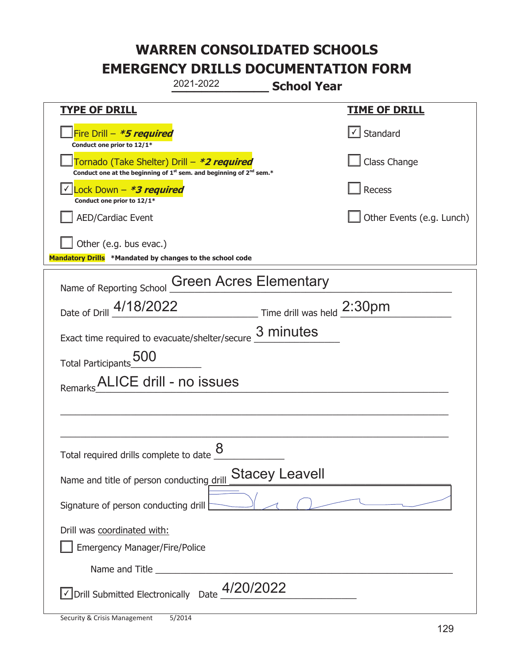|                                                                                                                                           | 2021-2022<br><b>School Year</b> |                           |
|-------------------------------------------------------------------------------------------------------------------------------------------|---------------------------------|---------------------------|
| <b>TYPE OF DRILL</b>                                                                                                                      |                                 | <b>TIME OF DRILL</b>      |
| Fire Drill – <i>*<b>5 required</b></i><br>Conduct one prior to 12/1*                                                                      |                                 | √ Standard                |
| Tornado (Take Shelter) Drill – *2 required<br>Conduct one at the beginning of 1 <sup>st</sup> sem. and beginning of 2 <sup>nd</sup> sem.* |                                 | Class Change              |
| Lock Down - *3 required<br>Conduct one prior to 12/1*                                                                                     |                                 | Recess                    |
| <b>AED/Cardiac Event</b>                                                                                                                  |                                 | Other Events (e.g. Lunch) |
| Other (e.g. bus evac.)<br>Mandatory Drills *Mandated by changes to the school code                                                        |                                 |                           |
| Name of Reporting School                                                                                                                  | <b>Green Acres Elementary</b>   |                           |
| Date of Drill 4/18/2022                                                                                                                   | Time drill was held 2:30pm      |                           |
| Exact time required to evacuate/shelter/secure                                                                                            | 3 minutes                       |                           |
| Total Participants 500                                                                                                                    |                                 |                           |
| ALICE drill - no issues<br>Remarks                                                                                                        |                                 |                           |
|                                                                                                                                           |                                 |                           |
|                                                                                                                                           |                                 |                           |
| Total required drills complete to date $\underline{\mathcal{8}}$                                                                          |                                 |                           |
| Name and title of person conducting drill                                                                                                 | <b>Stacey Leavell</b>           |                           |
| Signature of person conducting drill                                                                                                      |                                 |                           |
| Drill was coordinated with:                                                                                                               |                                 |                           |
| <b>Emergency Manager/Fire/Police</b>                                                                                                      |                                 |                           |
|                                                                                                                                           |                                 |                           |
| √Drill Submitted Electronically Date 4/20/2022                                                                                            |                                 |                           |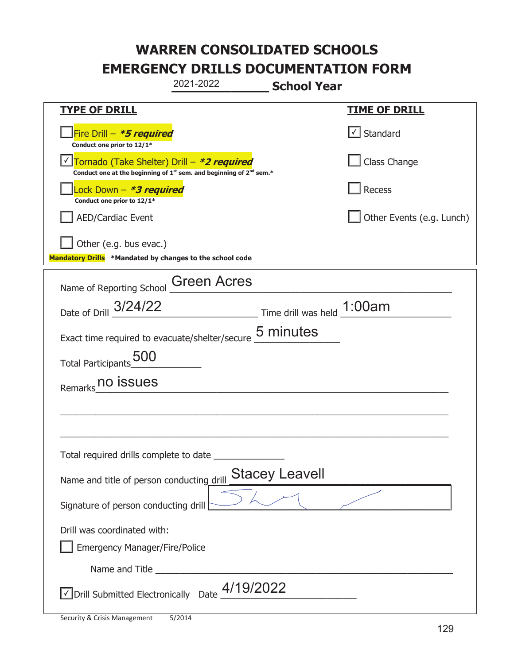|                                                                                    | 2021-2022                                                                                   | <b>School Year</b>         |                           |
|------------------------------------------------------------------------------------|---------------------------------------------------------------------------------------------|----------------------------|---------------------------|
| <b>TYPE OF DRILL</b>                                                               |                                                                                             |                            | <u>TIME OF DRILL</u>      |
| Fire Drill - *5 required<br>Conduct one prior to 12/1*                             |                                                                                             |                            | √ Standard                |
| Tornado (Take Shelter) Drill - *2 required                                         | Conduct one at the beginning of 1 <sup>st</sup> sem. and beginning of 2 <sup>nd</sup> sem.* |                            | Class Change              |
| ock Down – <b><i>*3 required</i></b><br>Conduct one prior to 12/1*                 |                                                                                             |                            | Recess                    |
| <b>AED/Cardiac Event</b>                                                           |                                                                                             |                            | Other Events (e.g. Lunch) |
| Other (e.g. bus evac.)<br>Mandatory Drills *Mandated by changes to the school code |                                                                                             |                            |                           |
| Name of Reporting School                                                           | <b>Green Acres</b>                                                                          |                            |                           |
| Date of Drill 3/24/22                                                              |                                                                                             | Time drill was held 1:00am |                           |
| Exact time required to evacuate/shelter/secure                                     |                                                                                             | 5 minutes                  |                           |
| Total Participants 500                                                             |                                                                                             |                            |                           |
| no issues<br>Remarks                                                               |                                                                                             |                            |                           |
|                                                                                    |                                                                                             |                            |                           |
|                                                                                    |                                                                                             |                            |                           |
| Total required drills complete to date                                             |                                                                                             |                            |                           |
| Name and title of person conducting drill                                          |                                                                                             | <b>Stacey Leavell</b>      |                           |
| Signature of person conducting drill                                               |                                                                                             |                            |                           |
| Drill was coordinated with:<br><b>Emergency Manager/Fire/Police</b>                |                                                                                             |                            |                           |
|                                                                                    |                                                                                             |                            |                           |
| $\sqrt{2}$ Drill Submitted Electronically Date $\frac{4/19}{2022}$                 |                                                                                             |                            |                           |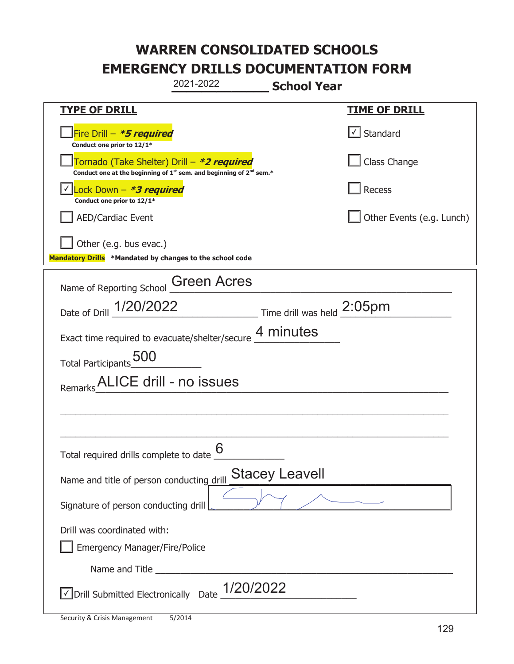|                                                                                                                                           | 2021-2022                                             | <b>School Year</b>    |                               |
|-------------------------------------------------------------------------------------------------------------------------------------------|-------------------------------------------------------|-----------------------|-------------------------------|
| <b>TYPE OF DRILL</b>                                                                                                                      |                                                       |                       | <u>TIME OF DRILL</u>          |
| Fire Drill - *5 required<br>Conduct one prior to 12/1*                                                                                    |                                                       |                       | $\sqrt{\phantom{a}}$ Standard |
| Tornado (Take Shelter) Drill – *2 required<br>Conduct one at the beginning of 1 <sup>st</sup> sem. and beginning of 2 <sup>nd</sup> sem.* |                                                       |                       | Class Change                  |
| Lock Down - *3 required<br>Conduct one prior to 12/1*                                                                                     |                                                       |                       | Recess                        |
| <b>AED/Cardiac Event</b>                                                                                                                  |                                                       |                       | Other Events (e.g. Lunch)     |
| Other (e.g. bus evac.)<br>Mandatory Drills *Mandated by changes to the school code                                                        |                                                       |                       |                               |
| Name of Reporting School                                                                                                                  | <b>Green Acres</b>                                    |                       |                               |
| Date of Drill 1/20/2022                                                                                                                   | $\frac{1}{2.05}$ Time drill was held $\frac{2.05}{1}$ |                       |                               |
| Exact time required to evacuate/shelter/secure 4 minutes                                                                                  |                                                       |                       |                               |
| Total Participants 500                                                                                                                    |                                                       |                       |                               |
| Remarks                                                                                                                                   | ALICE drill - no issues                               |                       |                               |
|                                                                                                                                           |                                                       |                       |                               |
|                                                                                                                                           |                                                       |                       |                               |
| Total required drills complete to date $6 \over 6$                                                                                        |                                                       |                       |                               |
| Name and title of person conducting drill                                                                                                 |                                                       | <b>Stacey Leavell</b> |                               |
| Signature of person conducting drill                                                                                                      |                                                       |                       |                               |
| Drill was coordinated with:<br><b>Emergency Manager/Fire/Police</b>                                                                       |                                                       |                       |                               |
|                                                                                                                                           |                                                       |                       |                               |
| √ Drill Submitted Electronically Date                                                                                                     | 1/20/2022                                             |                       |                               |

t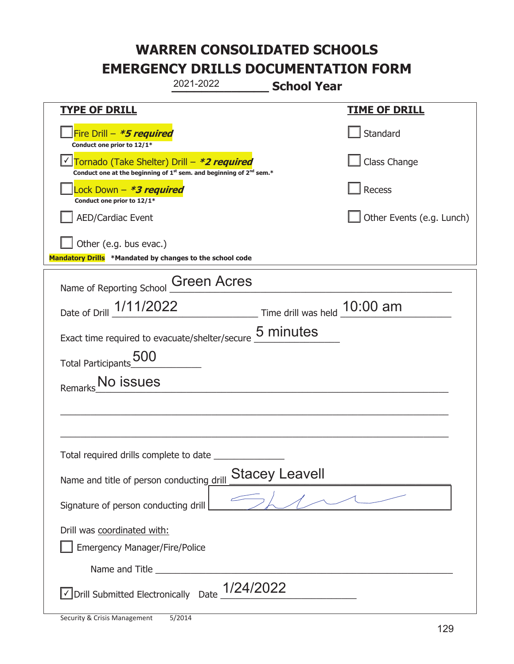|                                                                                    | 2021-2022                                                                                   | <b>School Year</b>    |                           |
|------------------------------------------------------------------------------------|---------------------------------------------------------------------------------------------|-----------------------|---------------------------|
| <u>TYPE OF DRILL</u>                                                               |                                                                                             |                       | <b>TIME OF DRILL</b>      |
| Fire Drill - *5 required<br>Conduct one prior to 12/1*                             |                                                                                             |                       | Standard                  |
| Tornado (Take Shelter) Drill – *2 required                                         | Conduct one at the beginning of 1 <sup>st</sup> sem. and beginning of 2 <sup>nd</sup> sem.* |                       | Class Change              |
| Lock Down - <b>*3 required</b><br>Conduct one prior to 12/1*                       |                                                                                             |                       | <b>Recess</b>             |
| <b>AED/Cardiac Event</b>                                                           |                                                                                             |                       | Other Events (e.g. Lunch) |
| Other (e.g. bus evac.)<br>Mandatory Drills *Mandated by changes to the school code |                                                                                             |                       |                           |
| Name of Reporting School                                                           | <b>Green Acres</b>                                                                          |                       |                           |
| Date of Drill 1/11/2022 Time drill was held 10:00 am                               |                                                                                             |                       |                           |
| Exact time required to evacuate/shelter/secure 5 minutes                           |                                                                                             |                       |                           |
| Total Participants 500                                                             |                                                                                             |                       |                           |
| No issues<br>Remarks                                                               |                                                                                             |                       |                           |
|                                                                                    |                                                                                             |                       |                           |
|                                                                                    |                                                                                             |                       |                           |
| Total required drills complete to date                                             |                                                                                             |                       |                           |
| Name and title of person conducting drill                                          |                                                                                             | <b>Stacey Leavell</b> |                           |
| Signature of person conducting drill                                               |                                                                                             |                       |                           |
| Drill was coordinated with:<br><b>Emergency Manager/Fire/Police</b>                |                                                                                             |                       |                           |
|                                                                                    |                                                                                             |                       |                           |
| √ Drill Submitted Electronically Date                                              | 1/24/2022                                                                                   |                       |                           |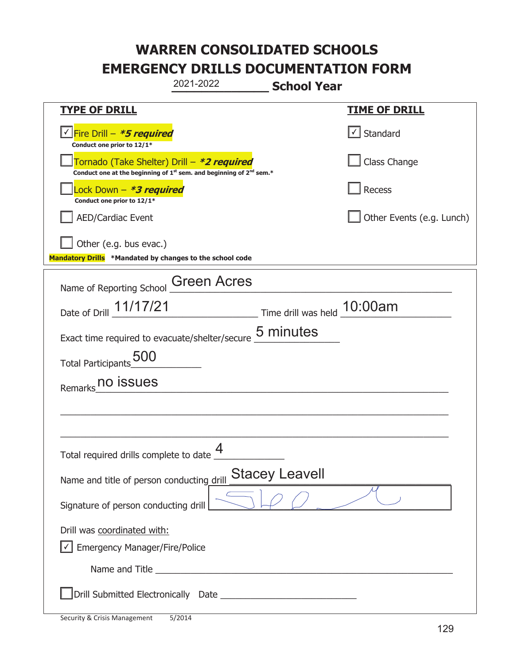|                                                                                    | 2021-2022                                                                     | <b>School Year</b>          |                           |
|------------------------------------------------------------------------------------|-------------------------------------------------------------------------------|-----------------------------|---------------------------|
| <u>TYPE OF DRILL</u>                                                               |                                                                               |                             | <u>TIME OF DRILL</u>      |
| Fire Drill - *5 required<br>Conduct one prior to 12/1*                             |                                                                               |                             | Standard                  |
| Tornado (Take Shelter) Drill – *2 required                                         | Conduct one at the beginning of $1^{st}$ sem. and beginning of $2^{nd}$ sem.* |                             | Class Change              |
| Lock Down – <i>*<b>3 required</b></i><br>Conduct one prior to 12/1*                |                                                                               |                             | Recess                    |
| <b>AED/Cardiac Event</b>                                                           |                                                                               |                             | Other Events (e.g. Lunch) |
| Other (e.g. bus evac.)<br>Mandatory Drills *Mandated by changes to the school code |                                                                               |                             |                           |
| Name of Reporting School                                                           | <b>Green Acres</b>                                                            |                             |                           |
| Date of Drill 11/17/21                                                             |                                                                               | Time drill was held 10:00am |                           |
| Exact time required to evacuate/shelter/secure 5 minutes                           |                                                                               |                             |                           |
| <b>500</b><br><b>Total Participants</b>                                            |                                                                               |                             |                           |
| no issues<br>Remarks                                                               |                                                                               |                             |                           |
|                                                                                    |                                                                               |                             |                           |
|                                                                                    |                                                                               |                             |                           |
| Total required drills complete to date _                                           | Δ                                                                             |                             |                           |
| Name and title of person conducting drill                                          |                                                                               | <b>Stacey Leavell</b>       |                           |
| Signature of person conducting drill                                               |                                                                               |                             |                           |
| Drill was coordinated with:                                                        |                                                                               |                             |                           |
| <b>Emergency Manager/Fire/Police</b>                                               |                                                                               |                             |                           |
|                                                                                    |                                                                               |                             |                           |
|                                                                                    |                                                                               |                             |                           |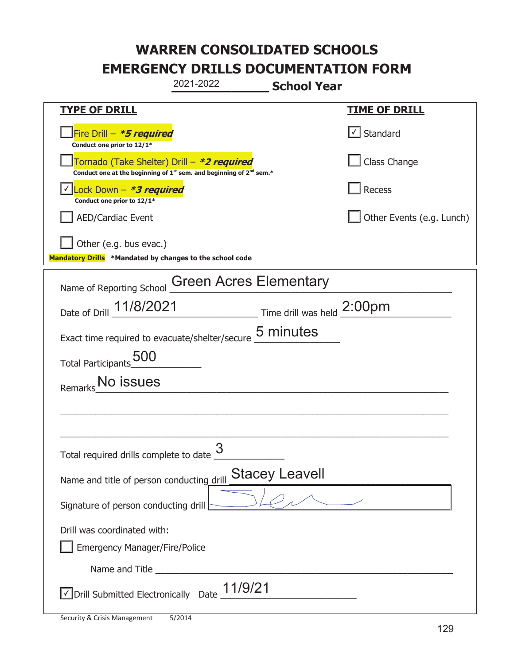|                                                                               | 2021-2022                                                                                   | <b>School Year</b>    |                              |
|-------------------------------------------------------------------------------|---------------------------------------------------------------------------------------------|-----------------------|------------------------------|
| <b>TYPE OF DRILL</b>                                                          |                                                                                             |                       | <u>TIME OF DRILL</u>         |
| Fire Drill - *5 required<br>Conduct one prior to 12/1*                        |                                                                                             |                       | $\vert \cdot \vert$ Standard |
| Tornado (Take Shelter) Drill – *2 required                                    | Conduct one at the beginning of 1 <sup>st</sup> sem. and beginning of 2 <sup>nd</sup> sem.* |                       | Class Change                 |
| Lock Down – <i>*<b>3 required</b></i><br>Conduct one prior to 12/1*           |                                                                                             |                       | Recess                       |
| <b>AED/Cardiac Event</b>                                                      |                                                                                             |                       | Other Events (e.g. Lunch)    |
| Other (e.g. bus evac.)                                                        |                                                                                             |                       |                              |
| Mandatory Drills *Mandated by changes to the school code                      |                                                                                             |                       |                              |
| Name of Reporting School                                                      | <b>Green Acres Elementary</b>                                                               |                       |                              |
| Date of Drill 11/8/2021                                                       | $\frac{1}{2}$ Time drill was held $\frac{2:00 \text{pm}}{2}$                                |                       |                              |
| Exact time required to evacuate/shelter/secure                                |                                                                                             | 5 minutes             |                              |
| Total Participants 500                                                        |                                                                                             |                       |                              |
| No issues<br>Remarks                                                          |                                                                                             |                       |                              |
|                                                                               |                                                                                             |                       |                              |
|                                                                               |                                                                                             |                       |                              |
| Total required drills complete to date                                        | 3                                                                                           |                       |                              |
| Name and title of person conducting drill                                     |                                                                                             | <b>Stacey Leavell</b> |                              |
| Signature of person conducting drill $\left\lfloor \frac{1}{2} \right\rfloor$ |                                                                                             |                       |                              |
| Drill was coordinated with:<br><b>Emergency Manager/Fire/Police</b>           |                                                                                             |                       |                              |
|                                                                               |                                                                                             |                       |                              |
| $\vee$ Drill Submitted Electronically Date $\underline{11/9/21}$              |                                                                                             |                       |                              |

t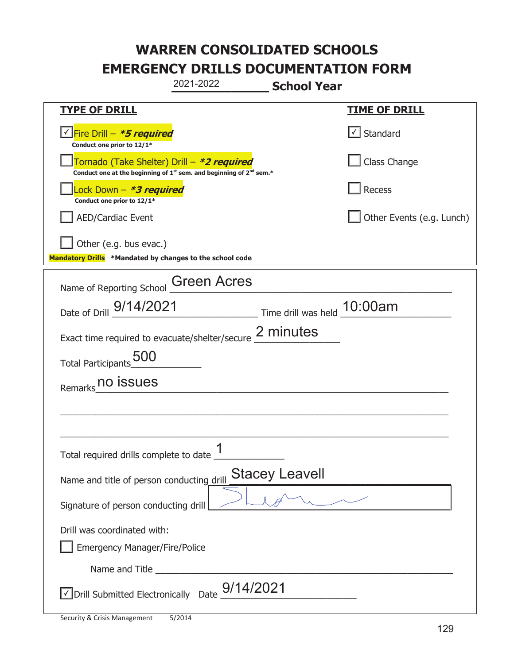|                                                                                                                                           | 2021-2022 | <b>School Year</b>    |                           |
|-------------------------------------------------------------------------------------------------------------------------------------------|-----------|-----------------------|---------------------------|
| <b>TYPE OF DRILL</b>                                                                                                                      |           |                       | <b>TIME OF DRILL</b>      |
| <u>√ Fire Drill – <i>*5 required</i></u><br>Conduct one prior to 12/1*                                                                    |           |                       | √ Standard                |
| Tornado (Take Shelter) Drill – *2 required<br>Conduct one at the beginning of 1 <sup>st</sup> sem. and beginning of 2 <sup>nd</sup> sem.* |           |                       | Class Change              |
| Lock Down - *3 required<br>Conduct one prior to 12/1*                                                                                     |           |                       | Recess                    |
| AED/Cardiac Event                                                                                                                         |           |                       | Other Events (e.g. Lunch) |
| Other (e.g. bus evac.)<br>Mandatory Drills *Mandated by changes to the school code                                                        |           |                       |                           |
| Name of Reporting School Green Acres                                                                                                      |           |                       |                           |
| Date of Drill 9/14/2021 Time drill was held 10:00am                                                                                       |           |                       |                           |
| Exact time required to evacuate/shelter/secure 2 minutes                                                                                  |           |                       |                           |
| Total Participants 500                                                                                                                    |           |                       |                           |
| Remarks no issues                                                                                                                         |           |                       |                           |
|                                                                                                                                           |           |                       |                           |
|                                                                                                                                           |           |                       |                           |
| Total required drills complete to date $\frac{1}{1}$                                                                                      |           |                       |                           |
| Name and title of person conducting drill                                                                                                 |           | <b>Stacey Leavell</b> |                           |
| Signature of person conducting drill                                                                                                      |           |                       |                           |
| Drill was coordinated with:                                                                                                               |           |                       |                           |
| <b>Emergency Manager/Fire/Police</b>                                                                                                      |           |                       |                           |
|                                                                                                                                           |           |                       |                           |
| $\triangledown$ Drill Submitted Electronically Date $\frac{9}{14}$ /2021                                                                  |           |                       |                           |